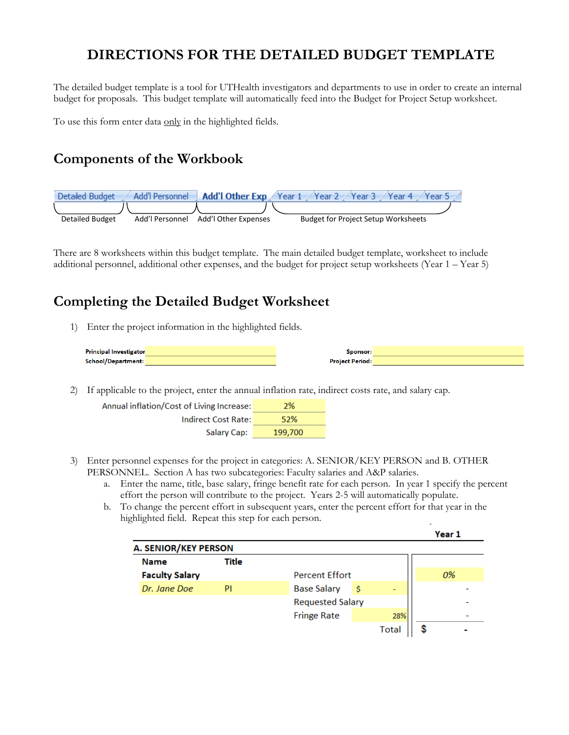## **DIRECTIONS FOR THE DETAILED BUDGET TEMPLATE**

The detailed budget template is a tool for UTHealth investigators and departments to use in order to create an internal budget for proposals. This budget template will automatically feed into the Budget for Project Setup worksheet.

To use this form enter data only in the highlighted fields.

## **Components of the Workbook**



There are 8 worksheets within this budget template. The main detailed budget template, worksheet to include additional personnel, additional other expenses, and the budget for project setup worksheets (Year 1 – Year 5)

## **Completing the Detailed Budget Worksheet**

1) Enter the project information in the highlighted fields.

| <b>Principal Investigator</b> | Sponsor:               |  |
|-------------------------------|------------------------|--|
| School/Department:            | <b>Project Period:</b> |  |

2) If applicable to the project, enter the annual inflation rate, indirect costs rate, and salary cap.

| Annual inflation/Cost of Living Increase: | 2%      |
|-------------------------------------------|---------|
| <b>Indirect Cost Rate:</b>                | 52%     |
| Salary Cap:                               | 199,700 |

- 3) Enter personnel expenses for the project in categories: A. SENIOR/KEY PERSON and B. OTHER PERSONNEL. Section A has two subcategories: Faculty salaries and A&P salaries.
	- a. Enter the name, title, base salary, fringe benefit rate for each person. In year 1 specify the percent effort the person will contribute to the project. Years 2-5 will automatically populate.
	- b. To change the percent effort in subsequent years, enter the percent effort for that year in the highlighted field. Repeat this step for each person.

|                             |       |                         |   |       | Year 1 |  |
|-----------------------------|-------|-------------------------|---|-------|--------|--|
| <b>A. SENIOR/KEY PERSON</b> |       |                         |   |       |        |  |
| <b>Name</b>                 | Title |                         |   |       |        |  |
| <b>Faculty Salary</b>       |       | <b>Percent Effort</b>   |   |       | 0%     |  |
| Dr. Jane Doe                | PI    | <b>Base Salary</b>      | s | -     |        |  |
|                             |       | <b>Requested Salary</b> |   |       |        |  |
|                             |       | <b>Fringe Rate</b>      |   | 28%   |        |  |
|                             |       |                         |   | Total |        |  |